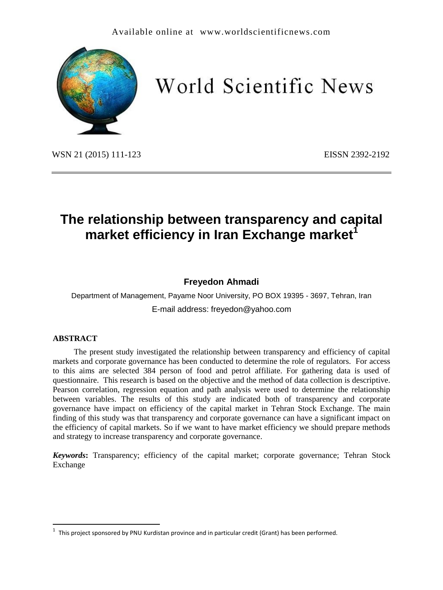

# World Scientific News

WSN 21 (2015) 111-123 EISSN 2392-2192

# **The relationship between transparency and capital market efficiency in Iran Exchange market**

## **Freyedon Ahmadi**

Department of Management, Payame Noor University, PO BOX 19395 - 3697, Tehran, Iran E-mail address: freyedon@yahoo.com

#### **ABSTRACT**

 $\overline{\phantom{a}}$ 

The present study investigated the relationship between transparency and efficiency of capital markets and corporate governance has been conducted to determine the role of regulators. For access to this aims are selected 384 person of food and petrol affiliate. For gathering data is used of questionnaire. This research is based on the objective and the method of data collection is descriptive. Pearson correlation, regression equation and path analysis were used to determine the relationship between variables. The results of this study are indicated both of transparency and corporate governance have impact on efficiency of the capital market in Tehran Stock Exchange. The main finding of this study was that transparency and corporate governance can have a significant impact on the efficiency of capital markets. So if we want to have market efficiency we should prepare methods and strategy to increase transparency and corporate governance.

*Keywords***:** Transparency; efficiency of the capital market; corporate governance; Tehran Stock Exchange

<sup>1</sup> This project sponsored by PNU Kurdistan province and in particular credit (Grant) has been performed.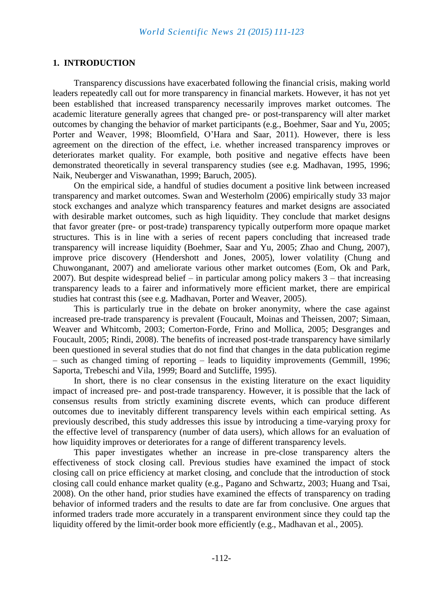#### **1. INTRODUCTION**

Transparency discussions have exacerbated following the financial crisis, making world leaders repeatedly call out for more transparency in financial markets. However, it has not yet been established that increased transparency necessarily improves market outcomes. The academic literature generally agrees that changed pre- or post-transparency will alter market outcomes by changing the behavior of market participants (e.g., Boehmer, Saar and Yu, 2005; Porter and Weaver, 1998; Bloomfield, O'Hara and Saar, 2011). However, there is less agreement on the direction of the effect, i.e. whether increased transparency improves or deteriorates market quality. For example, both positive and negative effects have been demonstrated theoretically in several transparency studies (see e.g. Madhavan, 1995, 1996; Naik, Neuberger and Viswanathan, 1999; Baruch, 2005).

On the empirical side, a handful of studies document a positive link between increased transparency and market outcomes. Swan and Westerholm (2006) empirically study 33 major stock exchanges and analyze which transparency features and market designs are associated with desirable market outcomes, such as high liquidity. They conclude that market designs that favor greater (pre- or post-trade) transparency typically outperform more opaque market structures. This is in line with a series of recent papers concluding that increased trade transparency will increase liquidity (Boehmer, Saar and Yu, 2005; Zhao and Chung, 2007), improve price discovery (Hendershott and Jones, 2005), lower volatility (Chung and Chuwonganant, 2007) and ameliorate various other market outcomes (Eom, Ok and Park, 2007). But despite widespread belief – in particular among policy makers 3 – that increasing transparency leads to a fairer and informatively more efficient market, there are empirical studies hat contrast this (see e.g. Madhavan, Porter and Weaver, 2005).

This is particularly true in the debate on broker anonymity, where the case against increased pre-trade transparency is prevalent (Foucault, Moinas and Theissen, 2007; Simaan, Weaver and Whitcomb, 2003; Comerton-Forde, Frino and Mollica, 2005; Desgranges and Foucault, 2005; Rindi, 2008). The benefits of increased post-trade transparency have similarly been questioned in several studies that do not find that changes in the data publication regime – such as changed timing of reporting – leads to liquidity improvements (Gemmill, 1996; Saporta, Trebeschi and Vila, 1999; Board and Sutcliffe, 1995).

In short, there is no clear consensus in the existing literature on the exact liquidity impact of increased pre- and post-trade transparency. However, it is possible that the lack of consensus results from strictly examining discrete events, which can produce different outcomes due to inevitably different transparency levels within each empirical setting. As previously described, this study addresses this issue by introducing a time-varying proxy for the effective level of transparency (number of data users), which allows for an evaluation of how liquidity improves or deteriorates for a range of different transparency levels.

This paper investigates whether an increase in pre-close transparency alters the effectiveness of stock closing call. Previous studies have examined the impact of stock closing call on price efficiency at market closing, and conclude that the introduction of stock closing call could enhance market quality (e.g., Pagano and Schwartz, 2003; Huang and Tsai, 2008). On the other hand, prior studies have examined the effects of transparency on trading behavior of informed traders and the results to date are far from conclusive. One argues that informed traders trade more accurately in a transparent environment since they could tap the liquidity offered by the limit-order book more efficiently (e.g., Madhavan et al., 2005).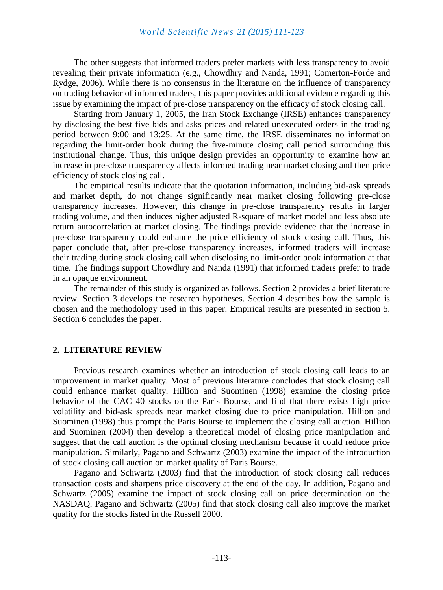The other suggests that informed traders prefer markets with less transparency to avoid revealing their private information (e.g., Chowdhry and Nanda, 1991; Comerton-Forde and Rydge, 2006). While there is no consensus in the literature on the influence of transparency on trading behavior of informed traders, this paper provides additional evidence regarding this issue by examining the impact of pre-close transparency on the efficacy of stock closing call.

Starting from January 1, 2005, the Iran Stock Exchange (IRSE) enhances transparency by disclosing the best five bids and asks prices and related unexecuted orders in the trading period between 9:00 and 13:25. At the same time, the IRSE disseminates no information regarding the limit-order book during the five-minute closing call period surrounding this institutional change. Thus, this unique design provides an opportunity to examine how an increase in pre-close transparency affects informed trading near market closing and then price efficiency of stock closing call.

The empirical results indicate that the quotation information, including bid-ask spreads and market depth, do not change significantly near market closing following pre-close transparency increases. However, this change in pre-close transparency results in larger trading volume, and then induces higher adjusted R-square of market model and less absolute return autocorrelation at market closing. The findings provide evidence that the increase in pre-close transparency could enhance the price efficiency of stock closing call. Thus, this paper conclude that, after pre-close transparency increases, informed traders will increase their trading during stock closing call when disclosing no limit-order book information at that time. The findings support Chowdhry and Nanda (1991) that informed traders prefer to trade in an opaque environment.

The remainder of this study is organized as follows. Section 2 provides a brief literature review. Section 3 develops the research hypotheses. Section 4 describes how the sample is chosen and the methodology used in this paper. Empirical results are presented in section 5. Section 6 concludes the paper.

#### **2. LITERATURE REVIEW**

Previous research examines whether an introduction of stock closing call leads to an improvement in market quality. Most of previous literature concludes that stock closing call could enhance market quality. Hillion and Suominen (1998) examine the closing price behavior of the CAC 40 stocks on the Paris Bourse, and find that there exists high price volatility and bid-ask spreads near market closing due to price manipulation. Hillion and Suominen (1998) thus prompt the Paris Bourse to implement the closing call auction. Hillion and Suominen (2004) then develop a theoretical model of closing price manipulation and suggest that the call auction is the optimal closing mechanism because it could reduce price manipulation. Similarly, Pagano and Schwartz (2003) examine the impact of the introduction of stock closing call auction on market quality of Paris Bourse.

Pagano and Schwartz (2003) find that the introduction of stock closing call reduces transaction costs and sharpens price discovery at the end of the day. In addition, Pagano and Schwartz (2005) examine the impact of stock closing call on price determination on the NASDAQ. Pagano and Schwartz (2005) find that stock closing call also improve the market quality for the stocks listed in the Russell 2000.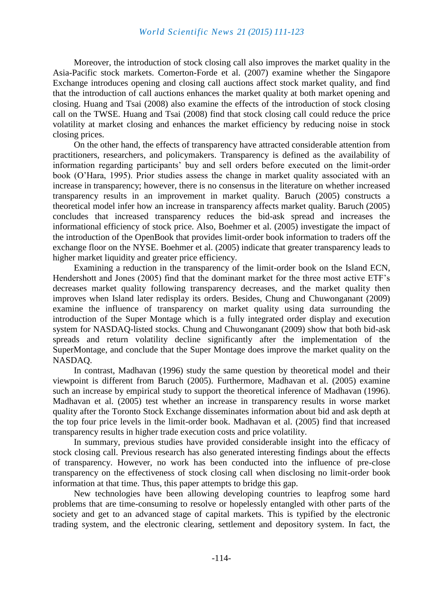#### *World Scientific News 21 (2015) 111-123*

Moreover, the introduction of stock closing call also improves the market quality in the Asia-Pacific stock markets. Comerton-Forde et al. (2007) examine whether the Singapore Exchange introduces opening and closing call auctions affect stock market quality, and find that the introduction of call auctions enhances the market quality at both market opening and closing. Huang and Tsai (2008) also examine the effects of the introduction of stock closing call on the TWSE. Huang and Tsai (2008) find that stock closing call could reduce the price volatility at market closing and enhances the market efficiency by reducing noise in stock closing prices.

On the other hand, the effects of transparency have attracted considerable attention from practitioners, researchers, and policymakers. Transparency is defined as the availability of information regarding participants' buy and sell orders before executed on the limit-order book (O'Hara, 1995). Prior studies assess the change in market quality associated with an increase in transparency; however, there is no consensus in the literature on whether increased transparency results in an improvement in market quality. Baruch (2005) constructs a theoretical model infer how an increase in transparency affects market quality. Baruch (2005) concludes that increased transparency reduces the bid-ask spread and increases the informational efficiency of stock price. Also, Boehmer et al. (2005) investigate the impact of the introduction of the OpenBook that provides limit-order book information to traders off the exchange floor on the NYSE. Boehmer et al. (2005) indicate that greater transparency leads to higher market liquidity and greater price efficiency.

Examining a reduction in the transparency of the limit-order book on the Island ECN, Hendershott and Jones (2005) find that the dominant market for the three most active ETF's decreases market quality following transparency decreases, and the market quality then improves when Island later redisplay its orders. Besides, Chung and Chuwonganant (2009) examine the influence of transparency on market quality using data surrounding the introduction of the Super Montage which is a fully integrated order display and execution system for NASDAQ-listed stocks. Chung and Chuwonganant (2009) show that both bid-ask spreads and return volatility decline significantly after the implementation of the SuperMontage, and conclude that the Super Montage does improve the market quality on the NASDAQ.

In contrast, Madhavan (1996) study the same question by theoretical model and their viewpoint is different from Baruch (2005). Furthermore, Madhavan et al. (2005) examine such an increase by empirical study to support the theoretical inference of Madhavan (1996). Madhavan et al. (2005) test whether an increase in transparency results in worse market quality after the Toronto Stock Exchange disseminates information about bid and ask depth at the top four price levels in the limit-order book. Madhavan et al. (2005) find that increased transparency results in higher trade execution costs and price volatility.

In summary, previous studies have provided considerable insight into the efficacy of stock closing call. Previous research has also generated interesting findings about the effects of transparency. However, no work has been conducted into the influence of pre-close transparency on the effectiveness of stock closing call when disclosing no limit-order book information at that time. Thus, this paper attempts to bridge this gap.

New technologies have been allowing developing countries to leapfrog some hard problems that are time-consuming to resolve or hopelessly entangled with other parts of the society and get to an advanced stage of capital markets. This is typified by the electronic trading system, and the electronic clearing, settlement and depository system. In fact, the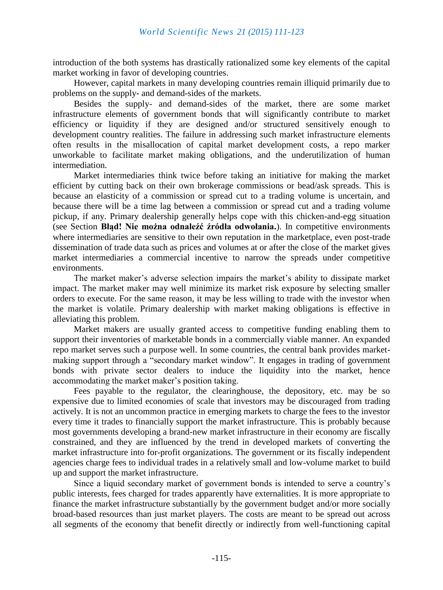introduction of the both systems has drastically rationalized some key elements of the capital market working in favor of developing countries.

However, capital markets in many developing countries remain illiquid primarily due to problems on the supply- and demand-sides of the markets.

Besides the supply- and demand-sides of the market, there are some market infrastructure elements of government bonds that will significantly contribute to market efficiency or liquidity if they are designed and/or structured sensitively enough to development country realities. The failure in addressing such market infrastructure elements often results in the misallocation of capital market development costs, a repo marker unworkable to facilitate market making obligations, and the underutilization of human intermediation.

Market intermediaries think twice before taking an initiative for making the market efficient by cutting back on their own brokerage commissions or bead/ask spreads. This is because an elasticity of a commission or spread cut to a trading volume is uncertain, and because there will be a time lag between a commission or spread cut and a trading volume pickup, if any. Primary dealership generally helps cope with this chicken-and-egg situation (see Section **Błąd! Nie można odnaleźć źródła odwołania.**). In competitive environments where intermediaries are sensitive to their own reputation in the marketplace, even post-trade dissemination of trade data such as prices and volumes at or after the close of the market gives market intermediaries a commercial incentive to narrow the spreads under competitive environments.

The market maker's adverse selection impairs the market's ability to dissipate market impact. The market maker may well minimize its market risk exposure by selecting smaller orders to execute. For the same reason, it may be less willing to trade with the investor when the market is volatile. Primary dealership with market making obligations is effective in alleviating this problem.

Market makers are usually granted access to competitive funding enabling them to support their inventories of marketable bonds in a commercially viable manner. An expanded repo market serves such a purpose well. In some countries, the central bank provides marketmaking support through a "secondary market window". It engages in trading of government bonds with private sector dealers to induce the liquidity into the market, hence accommodating the market maker's position taking.

Fees payable to the regulator, the clearinghouse, the depository, etc. may be so expensive due to limited economies of scale that investors may be discouraged from trading actively. It is not an uncommon practice in emerging markets to charge the fees to the investor every time it trades to financially support the market infrastructure. This is probably because most governments developing a brand-new market infrastructure in their economy are fiscally constrained, and they are influenced by the trend in developed markets of converting the market infrastructure into for-profit organizations. The government or its fiscally independent agencies charge fees to individual trades in a relatively small and low-volume market to build up and support the market infrastructure.

Since a liquid secondary market of government bonds is intended to serve a country's public interests, fees charged for trades apparently have externalities. It is more appropriate to finance the market infrastructure substantially by the government budget and/or more socially broad-based resources than just market players. The costs are meant to be spread out across all segments of the economy that benefit directly or indirectly from well-functioning capital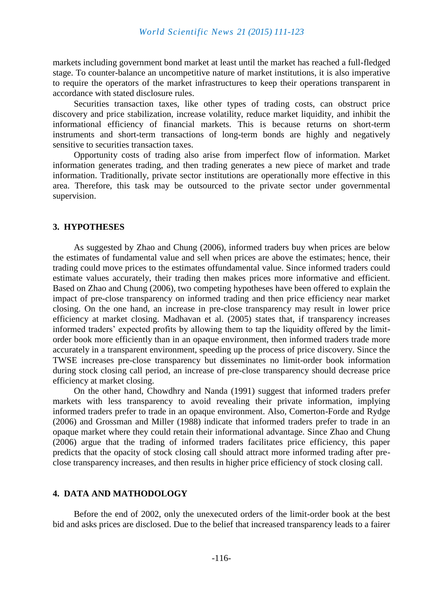markets including government bond market at least until the market has reached a full-fledged stage. To counter-balance an uncompetitive nature of market institutions, it is also imperative to require the operators of the market infrastructures to keep their operations transparent in accordance with stated disclosure rules.

Securities transaction taxes, like other types of trading costs, can obstruct price discovery and price stabilization, increase volatility, reduce market liquidity, and inhibit the informational efficiency of financial markets. This is because returns on short-term instruments and short-term transactions of long-term bonds are highly and negatively sensitive to securities transaction taxes.

Opportunity costs of trading also arise from imperfect flow of information. Market information generates trading, and then trading generates a new piece of market and trade information. Traditionally, private sector institutions are operationally more effective in this area. Therefore, this task may be outsourced to the private sector under governmental supervision.

#### **3. HYPOTHESES**

As suggested by Zhao and Chung (2006), informed traders buy when prices are below the estimates of fundamental value and sell when prices are above the estimates; hence, their trading could move prices to the estimates offundamental value. Since informed traders could estimate values accurately, their trading then makes prices more informative and efficient. Based on Zhao and Chung (2006), two competing hypotheses have been offered to explain the impact of pre-close transparency on informed trading and then price efficiency near market closing. On the one hand, an increase in pre-close transparency may result in lower price efficiency at market closing. Madhavan et al. (2005) states that, if transparency increases informed traders' expected profits by allowing them to tap the liquidity offered by the limitorder book more efficiently than in an opaque environment, then informed traders trade more accurately in a transparent environment, speeding up the process of price discovery. Since the TWSE increases pre-close transparency but disseminates no limit-order book information during stock closing call period, an increase of pre-close transparency should decrease price efficiency at market closing.

On the other hand, Chowdhry and Nanda (1991) suggest that informed traders prefer markets with less transparency to avoid revealing their private information, implying informed traders prefer to trade in an opaque environment. Also, Comerton-Forde and Rydge (2006) and Grossman and Miller (1988) indicate that informed traders prefer to trade in an opaque market where they could retain their informational advantage. Since Zhao and Chung (2006) argue that the trading of informed traders facilitates price efficiency, this paper predicts that the opacity of stock closing call should attract more informed trading after preclose transparency increases, and then results in higher price efficiency of stock closing call.

#### **4. DATA AND MATHODOLOGY**

Before the end of 2002, only the unexecuted orders of the limit-order book at the best bid and asks prices are disclosed. Due to the belief that increased transparency leads to a fairer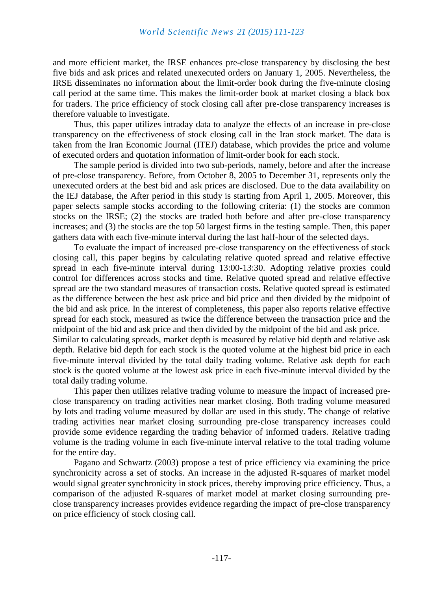and more efficient market, the IRSE enhances pre-close transparency by disclosing the best five bids and ask prices and related unexecuted orders on January 1, 2005. Nevertheless, the IRSE disseminates no information about the limit-order book during the five-minute closing call period at the same time. This makes the limit-order book at market closing a black box for traders. The price efficiency of stock closing call after pre-close transparency increases is therefore valuable to investigate.

Thus, this paper utilizes intraday data to analyze the effects of an increase in pre-close transparency on the effectiveness of stock closing call in the Iran stock market. The data is taken from the Iran Economic Journal (ITEJ) database, which provides the price and volume of executed orders and quotation information of limit-order book for each stock.

The sample period is divided into two sub-periods, namely, before and after the increase of pre-close transparency. Before, from October 8, 2005 to December 31, represents only the unexecuted orders at the best bid and ask prices are disclosed. Due to the data availability on the IEJ database, the After period in this study is starting from April 1, 2005. Moreover, this paper selects sample stocks according to the following criteria: (1) the stocks are common stocks on the IRSE; (2) the stocks are traded both before and after pre-close transparency increases; and (3) the stocks are the top 50 largest firms in the testing sample. Then, this paper gathers data with each five-minute interval during the last half-hour of the selected days.

To evaluate the impact of increased pre-close transparency on the effectiveness of stock closing call, this paper begins by calculating relative quoted spread and relative effective spread in each five-minute interval during 13:00-13:30. Adopting relative proxies could control for differences across stocks and time. Relative quoted spread and relative effective spread are the two standard measures of transaction costs. Relative quoted spread is estimated as the difference between the best ask price and bid price and then divided by the midpoint of the bid and ask price. In the interest of completeness, this paper also reports relative effective spread for each stock, measured as twice the difference between the transaction price and the midpoint of the bid and ask price and then divided by the midpoint of the bid and ask price. Similar to calculating spreads, market depth is measured by relative bid depth and relative ask depth. Relative bid depth for each stock is the quoted volume at the highest bid price in each five-minute interval divided by the total daily trading volume. Relative ask depth for each stock is the quoted volume at the lowest ask price in each five-minute interval divided by the

total daily trading volume.

This paper then utilizes relative trading volume to measure the impact of increased preclose transparency on trading activities near market closing. Both trading volume measured by lots and trading volume measured by dollar are used in this study. The change of relative trading activities near market closing surrounding pre-close transparency increases could provide some evidence regarding the trading behavior of informed traders. Relative trading volume is the trading volume in each five-minute interval relative to the total trading volume for the entire day.

Pagano and Schwartz (2003) propose a test of price efficiency via examining the price synchronicity across a set of stocks. An increase in the adjusted R-squares of market model would signal greater synchronicity in stock prices, thereby improving price efficiency. Thus, a comparison of the adjusted R-squares of market model at market closing surrounding preclose transparency increases provides evidence regarding the impact of pre-close transparency on price efficiency of stock closing call.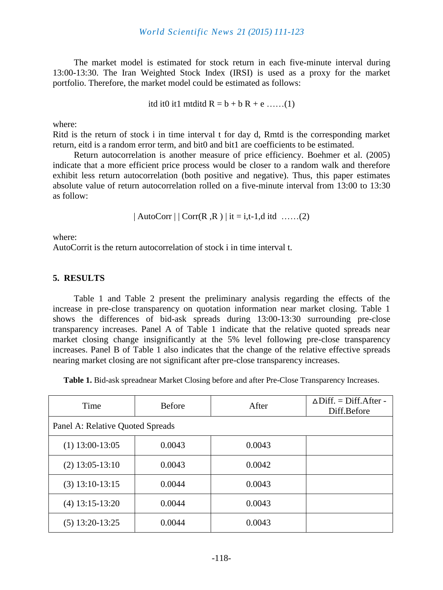The market model is estimated for stock return in each five-minute interval during 13:00-13:30. The Iran Weighted Stock Index (IRSI) is used as a proxy for the market portfolio. Therefore, the market model could be estimated as follows:

itd it0 it1 mtditd  $R = b + b R + e$  ……(1)

where:

Ritd is the return of stock i in time interval t for day d, Rmtd is the corresponding market return, eitd is a random error term, and bit0 and bit1 are coefficients to be estimated.

Return autocorrelation is another measure of price efficiency. Boehmer et al. (2005) indicate that a more efficient price process would be closer to a random walk and therefore exhibit less return autocorrelation (both positive and negative). Thus, this paper estimates absolute value of return autocorrelation rolled on a five-minute interval from 13:00 to 13:30 as follow:

| AutoCorr | | Corr(R ,R ) | it = i,t-1,d itd ……(2)

where:

AutoCorrit is the return autocorrelation of stock i in time interval t.

#### **5. RESULTS**

Table 1 and Table 2 present the preliminary analysis regarding the effects of the increase in pre-close transparency on quotation information near market closing. Table 1 shows the differences of bid-ask spreads during 13:00-13:30 surrounding pre-close transparency increases. Panel A of Table 1 indicate that the relative quoted spreads near market closing change insignificantly at the 5% level following pre-close transparency increases. Panel B of Table 1 also indicates that the change of the relative effective spreads nearing market closing are not significant after pre-close transparency increases.

**Table 1.** Bid-ask spreadnear Market Closing before and after Pre-Close Transparency Increases.

| Time                             | <b>Before</b> | After  | $\triangle$ Diff. = Diff. After -<br>Diff.Before |  |  |
|----------------------------------|---------------|--------|--------------------------------------------------|--|--|
| Panel A: Relative Quoted Spreads |               |        |                                                  |  |  |
| $(1)$ 13:00-13:05                | 0.0043        | 0.0043 |                                                  |  |  |
| $(2)$ 13:05-13:10                | 0.0043        | 0.0042 |                                                  |  |  |
| $(3)$ 13:10-13:15                | 0.0044        | 0.0043 |                                                  |  |  |
| $(4)$ 13:15-13:20                | 0.0044        | 0.0043 |                                                  |  |  |
| $(5)$ 13:20-13:25                | 0.0044        | 0.0043 |                                                  |  |  |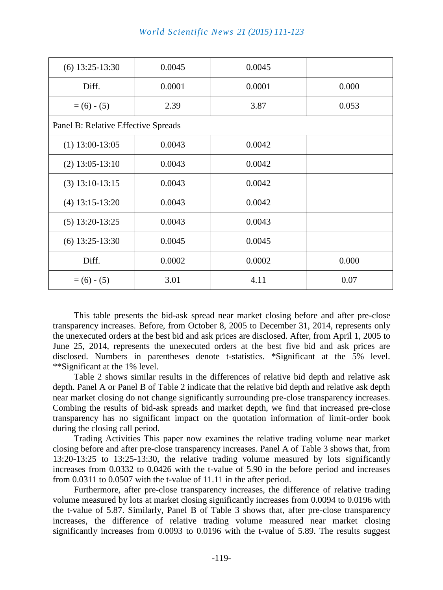| $(6)$ 13:25-13:30                   | 0.0045 | 0.0045 |       |  |  |
|-------------------------------------|--------|--------|-------|--|--|
| Diff.                               | 0.0001 | 0.0001 | 0.000 |  |  |
| $= (6) - (5)$                       | 2.39   | 3.87   | 0.053 |  |  |
| Panel B: Relative Effective Spreads |        |        |       |  |  |
| $(1)$ 13:00-13:05                   | 0.0043 | 0.0042 |       |  |  |
| $(2)$ 13:05-13:10                   | 0.0043 | 0.0042 |       |  |  |
| $(3)$ 13:10-13:15                   | 0.0043 | 0.0042 |       |  |  |
| $(4)$ 13:15-13:20                   | 0.0043 | 0.0042 |       |  |  |
| $(5)$ 13:20-13:25                   | 0.0043 | 0.0043 |       |  |  |
| $(6)$ 13:25-13:30                   | 0.0045 | 0.0045 |       |  |  |
| Diff.                               | 0.0002 | 0.0002 | 0.000 |  |  |
| $= (6) - (5)$                       | 3.01   | 4.11   | 0.07  |  |  |

This table presents the bid-ask spread near market closing before and after pre-close transparency increases. Before, from October 8, 2005 to December 31, 2014, represents only the unexecuted orders at the best bid and ask prices are disclosed. After, from April 1, 2005 to June 25, 2014, represents the unexecuted orders at the best five bid and ask prices are disclosed. Numbers in parentheses denote t-statistics. \*Significant at the 5% level. \*\*Significant at the 1% level.

Table 2 shows similar results in the differences of relative bid depth and relative ask depth. Panel A or Panel B of Table 2 indicate that the relative bid depth and relative ask depth near market closing do not change significantly surrounding pre-close transparency increases. Combing the results of bid-ask spreads and market depth, we find that increased pre-close transparency has no significant impact on the quotation information of limit-order book during the closing call period.

Trading Activities This paper now examines the relative trading volume near market closing before and after pre-close transparency increases. Panel A of Table 3 shows that, from 13:20-13:25 to 13:25-13:30, the relative trading volume measured by lots significantly increases from 0.0332 to 0.0426 with the t-value of 5.90 in the before period and increases from 0.0311 to 0.0507 with the t-value of 11.11 in the after period.

Furthermore, after pre-close transparency increases, the difference of relative trading volume measured by lots at market closing significantly increases from 0.0094 to 0.0196 with the t-value of 5.87. Similarly, Panel B of Table 3 shows that, after pre-close transparency increases, the difference of relative trading volume measured near market closing significantly increases from 0.0093 to 0.0196 with the t-value of 5.89. The results suggest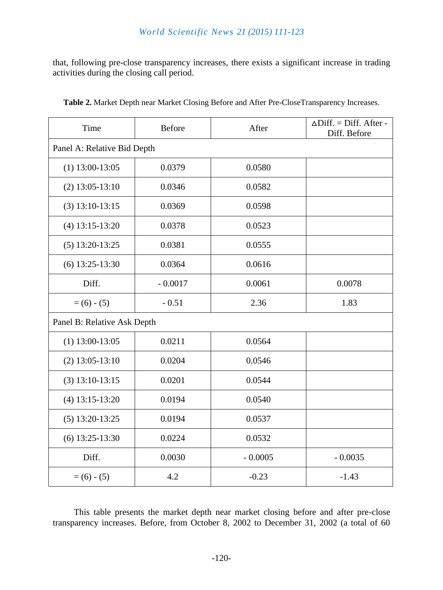### *World Scientific News 21 (2015) 111-123*

that, following pre-close transparency increases, there exists a significant increase in trading activities during the closing call period.

| Time                        | <b>Before</b> | After     | $\triangle$ Diff. = Diff. After -<br>Diff. Before |  |  |
|-----------------------------|---------------|-----------|---------------------------------------------------|--|--|
| Panel A: Relative Bid Depth |               |           |                                                   |  |  |
| $(1)$ 13:00-13:05           | 0.0379        | 0.0580    |                                                   |  |  |
| $(2)$ 13:05-13:10           | 0.0346        | 0.0582    |                                                   |  |  |
| $(3)$ 13:10-13:15           | 0.0369        | 0.0598    |                                                   |  |  |
| $(4)$ 13:15-13:20           | 0.0378        | 0.0523    |                                                   |  |  |
| $(5)$ 13:20-13:25           | 0.0381        | 0.0555    |                                                   |  |  |
| $(6)$ 13:25-13:30           | 0.0364        | 0.0616    |                                                   |  |  |
| Diff.                       | $-0.0017$     | 0.0061    | 0.0078                                            |  |  |
| $= (6) - (5)$               | $-0.51$       | 2.36      | 1.83                                              |  |  |
| Panel B: Relative Ask Depth |               |           |                                                   |  |  |
| $(1)$ 13:00-13:05           | 0.0211        | 0.0564    |                                                   |  |  |
| $(2)$ 13:05-13:10           | 0.0204        | 0.0546    |                                                   |  |  |
| $(3)$ 13:10-13:15           | 0.0201        | 0.0544    |                                                   |  |  |
| $(4)$ 13:15-13:20           | 0.0194        | 0.0540    |                                                   |  |  |
| $(5)$ 13:20-13:25           | 0.0194        | 0.0537    |                                                   |  |  |
| $(6)$ 13:25-13:30           | 0.0224        | 0.0532    |                                                   |  |  |
| Diff.                       | 0.0030        | $-0.0005$ | $-0.0035$                                         |  |  |
| $= (6) - (5)$               | 4.2           | $-0.23$   | $-1.43$                                           |  |  |

**Table 2.** Market Depth near Market Closing Before and After Pre-CloseTransparency Increases.

This table presents the market depth near market closing before and after pre-close transparency increases. Before, from October 8, 2002 to December 31, 2002 (a total of 60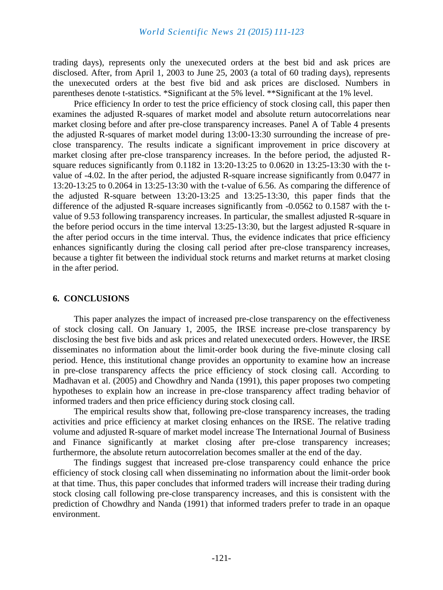trading days), represents only the unexecuted orders at the best bid and ask prices are disclosed. After, from April 1, 2003 to June 25, 2003 (a total of 60 trading days), represents the unexecuted orders at the best five bid and ask prices are disclosed. Numbers in parentheses denote t-statistics. \*Significant at the 5% level. \*\*Significant at the 1% level.

Price efficiency In order to test the price efficiency of stock closing call, this paper then examines the adjusted R-squares of market model and absolute return autocorrelations near market closing before and after pre-close transparency increases. Panel A of Table 4 presents the adjusted R-squares of market model during 13:00-13:30 surrounding the increase of preclose transparency. The results indicate a significant improvement in price discovery at market closing after pre-close transparency increases. In the before period, the adjusted Rsquare reduces significantly from 0.1182 in 13:20-13:25 to 0.0620 in 13:25-13:30 with the tvalue of -4.02. In the after period, the adjusted R-square increase significantly from 0.0477 in 13:20-13:25 to 0.2064 in 13:25-13:30 with the t-value of 6.56. As comparing the difference of the adjusted R-square between 13:20-13:25 and 13:25-13:30, this paper finds that the difference of the adjusted R-square increases significantly from -0.0562 to 0.1587 with the tvalue of 9.53 following transparency increases. In particular, the smallest adjusted R-square in the before period occurs in the time interval 13:25-13:30, but the largest adjusted R-square in the after period occurs in the time interval. Thus, the evidence indicates that price efficiency enhances significantly during the closing call period after pre-close transparency increases, because a tighter fit between the individual stock returns and market returns at market closing in the after period.

#### **6. CONCLUSIONS**

This paper analyzes the impact of increased pre-close transparency on the effectiveness of stock closing call. On January 1, 2005, the IRSE increase pre-close transparency by disclosing the best five bids and ask prices and related unexecuted orders. However, the IRSE disseminates no information about the limit-order book during the five-minute closing call period. Hence, this institutional change provides an opportunity to examine how an increase in pre-close transparency affects the price efficiency of stock closing call. According to Madhavan et al. (2005) and Chowdhry and Nanda (1991), this paper proposes two competing hypotheses to explain how an increase in pre-close transparency affect trading behavior of informed traders and then price efficiency during stock closing call.

The empirical results show that, following pre-close transparency increases, the trading activities and price efficiency at market closing enhances on the IRSE. The relative trading volume and adjusted R-square of market model increase The International Journal of Business and Finance significantly at market closing after pre-close transparency increases; furthermore, the absolute return autocorrelation becomes smaller at the end of the day.

The findings suggest that increased pre-close transparency could enhance the price efficiency of stock closing call when disseminating no information about the limit-order book at that time. Thus, this paper concludes that informed traders will increase their trading during stock closing call following pre-close transparency increases, and this is consistent with the prediction of Chowdhry and Nanda (1991) that informed traders prefer to trade in an opaque environment.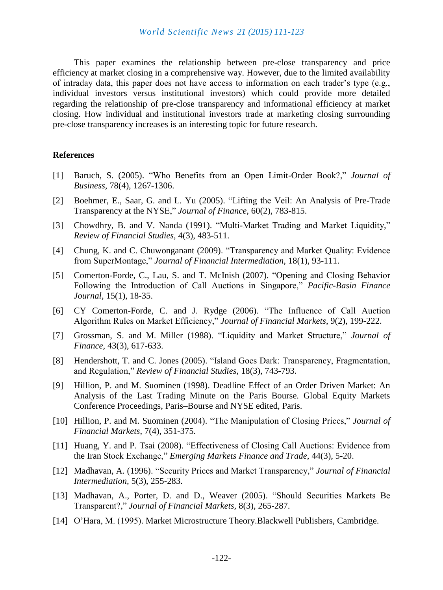This paper examines the relationship between pre-close transparency and price efficiency at market closing in a comprehensive way. However, due to the limited availability of intraday data, this paper does not have access to information on each trader's type (e.g., individual investors versus institutional investors) which could provide more detailed regarding the relationship of pre-close transparency and informational efficiency at market closing. How individual and institutional investors trade at marketing closing surrounding pre-close transparency increases is an interesting topic for future research.

#### **References**

- [1] Baruch, S. (2005). "Who Benefits from an Open Limit-Order Book?," *Journal of Business,* 78(4), 1267-1306.
- [2] Boehmer, E., Saar, G. and L. Yu (2005). "Lifting the Veil: An Analysis of Pre-Trade Transparency at the NYSE," *Journal of Finance,* 60(2), 783-815.
- [3] Chowdhry, B. and V. Nanda (1991). "Multi-Market Trading and Market Liquidity," *Review of Financial Studies,* 4(3), 483-511.
- [4] Chung, K. and C. Chuwonganant (2009). "Transparency and Market Quality: Evidence from SuperMontage," *Journal of Financial Intermediation,* 18(1), 93-111.
- [5] Comerton-Forde, C., Lau, S. and T. McInish (2007). "Opening and Closing Behavior Following the Introduction of Call Auctions in Singapore," *Pacific-Basin Finance Journal,* 15(1), 18-35.
- [6] CY Comerton-Forde, C. and J. Rydge (2006). "The Influence of Call Auction Algorithm Rules on Market Efficiency," *Journal of Financial Markets*, 9(2), 199-222.
- [7] Grossman, S. and M. Miller (1988). "Liquidity and Market Structure," *Journal of Finance,* 43(3), 617-633.
- [8] Hendershott, T. and C. Jones (2005). "Island Goes Dark: Transparency, Fragmentation, and Regulation," *Review of Financial Studies,* 18(3), 743-793.
- [9] Hillion, P. and M. Suominen (1998). Deadline Effect of an Order Driven Market: An Analysis of the Last Trading Minute on the Paris Bourse. Global Equity Markets Conference Proceedings, Paris–Bourse and NYSE edited, Paris.
- [10] Hillion, P. and M. Suominen (2004). "The Manipulation of Closing Prices," *Journal of Financial Markets*, 7(4), 351-375.
- [11] Huang, Y. and P. Tsai (2008). "Effectiveness of Closing Call Auctions: Evidence from the Iran Stock Exchange," *Emerging Markets Finance and Trade*, 44(3), 5-20.
- [12] Madhavan, A. (1996). "Security Prices and Market Transparency," *Journal of Financial Intermediation,* 5(3), 255-283.
- [13] Madhavan, A., Porter, D. and D., Weaver (2005). "Should Securities Markets Be Transparent?," *Journal of Financial Markets,* 8(3), 265-287.
- [14] O'Hara, M. (1995). Market Microstructure Theory.Blackwell Publishers, Cambridge.